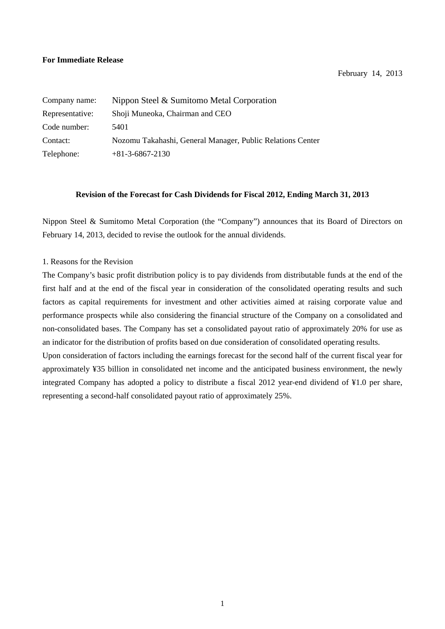## **For Immediate Release**

February 14, 2013

| Company name:   | Nippon Steel & Sumitomo Metal Corporation                  |
|-----------------|------------------------------------------------------------|
| Representative: | Shoji Muneoka, Chairman and CEO                            |
| Code number:    | 5401                                                       |
| Contact:        | Nozomu Takahashi, General Manager, Public Relations Center |
| Telephone:      | $+81-3-6867-2130$                                          |

## **Revision of the Forecast for Cash Dividends for Fiscal 2012, Ending March 31, 2013**

Nippon Steel & Sumitomo Metal Corporation (the "Company") announces that its Board of Directors on February 14, 2013, decided to revise the outlook for the annual dividends.

## 1. Reasons for the Revision

The Company's basic profit distribution policy is to pay dividends from distributable funds at the end of the first half and at the end of the fiscal year in consideration of the consolidated operating results and such factors as capital requirements for investment and other activities aimed at raising corporate value and performance prospects while also considering the financial structure of the Company on a consolidated and non-consolidated bases. The Company has set a consolidated payout ratio of approximately 20% for use as an indicator for the distribution of profits based on due consideration of consolidated operating results.

Upon consideration of factors including the earnings forecast for the second half of the current fiscal year for approximately ¥35 billion in consolidated net income and the anticipated business environment, the newly integrated Company has adopted a policy to distribute a fiscal 2012 year-end dividend of ¥1.0 per share, representing a second-half consolidated payout ratio of approximately 25%.